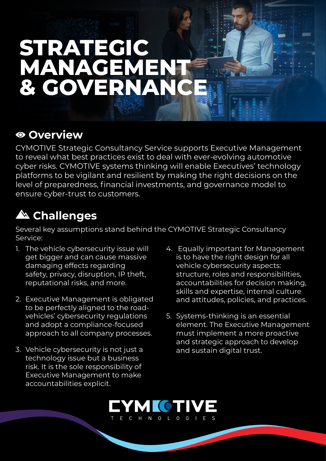# **STRATEGIC MANAGEMENT & GOVERNANCE**

#### **Overview**

CYMOTIVE Strategic Consultancy Service supports Executive Management to reveal what best practices exist to deal with ever-evolving automotive cyber risks. CYMOTIVE systems thinking will enable Executives' technology platforms to be vigilant and resilient by making the right decisions on the level of preparedness, financial investments, and governance model to ensure cyber-trust to customers.

### **Challenges**

Several key assumptions stand behind the CYMOTIVE Strategic Consultancy Service:

- 1. The vehicle cybersecurity issue will get bigger and can cause massive damaging effects regarding safety, privacy, disruption, IP theft, reputational risks, and more.
- 2. Executive Management is obligated vehicles' cybersecurity requlations to be perfectly aligned to the roadand adopt a compliance-focused approach to all company processes.
- 3. Vehicle cybersecurity is not just a technology issue but a business risk. It is the sole responsibility of Executive Management to make accountabilities explicit.
- 4. Equally important for Management is to have the right design for all vehicle cybersecurity aspects: structure, roles and responsibilities, accountabilities for decision making, skills and expertise, internal culture and attitudes, policies, and practices.
- 5. Systems-thinking is an essential element. The Executive Management must implement a more proactive and strategic approach to develop and sustain digital trust.

#### MICTI T F C H N O I O G I F S